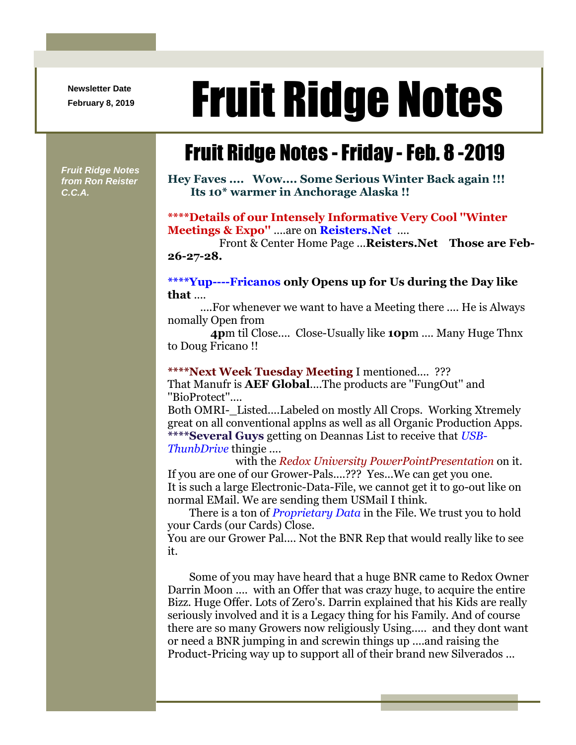**Newsletter Date**

# Newsletter Date **Fruit Ridge Notes**

## Fruit Ridge Notes -Friday -Feb. 8 -2019

*Fruit Ridge Notes from Ron Reister C.C.A.*

**Hey Faves .... Wow.... Some Serious Winter Back again !!! Its 10\* warmer in Anchorage Alaska !!**

#### **\*\*\*\*Details of our Intensely Informative Very Cool ''Winter Meetings & Expo''** ....are on **Reisters.Net** ....

Front & Center Home Page ...**Reisters.Net Those are Feb-26-27-28.**

#### **\*\*\*\*Yup----Fricanos only Opens up for Us during the Day like that** ....

....For whenever we want to have a Meeting there .... He is Always nomally Open from

**4p**m til Close.... Close-Usually like **10p**m .... Many Huge Thnx to Doug Fricano !!

#### **\*\*\*\*Next Week Tuesday Meeting** I mentioned.... ???

That Manufr is **AEF Global**....The products are ''FungOut'' and ''BioProtect''....

Both OMRI-\_Listed....Labeled on mostly All Crops. Working Xtremely great on all conventional applns as well as all Organic Production Apps. **\*\*\*\*Several Guys** getting on Deannas List to receive that *USB-ThunbDrive* thingie ....

with the *Redox University PowerPointPresentation* on it. If you are one of our Grower-Pals....??? Yes...We can get you one. It is such a large Electronic-Data-File, we cannot get it to go-out like on normal EMail. We are sending them USMail I think.

There is a ton of *Proprietary Data* in the File. We trust you to hold your Cards (our Cards) Close.

You are our Grower Pal.... Not the BNR Rep that would really like to see it.

Some of you may have heard that a huge BNR came to Redox Owner Darrin Moon .... with an Offer that was crazy huge, to acquire the entire Bizz. Huge Offer. Lots of Zero's. Darrin explained that his Kids are really seriously involved and it is a Legacy thing for his Family. And of course there are so many Growers now religiously Using..... and they dont want or need a BNR jumping in and screwin things up ....and raising the Product-Pricing way up to support all of their brand new Silverados ...